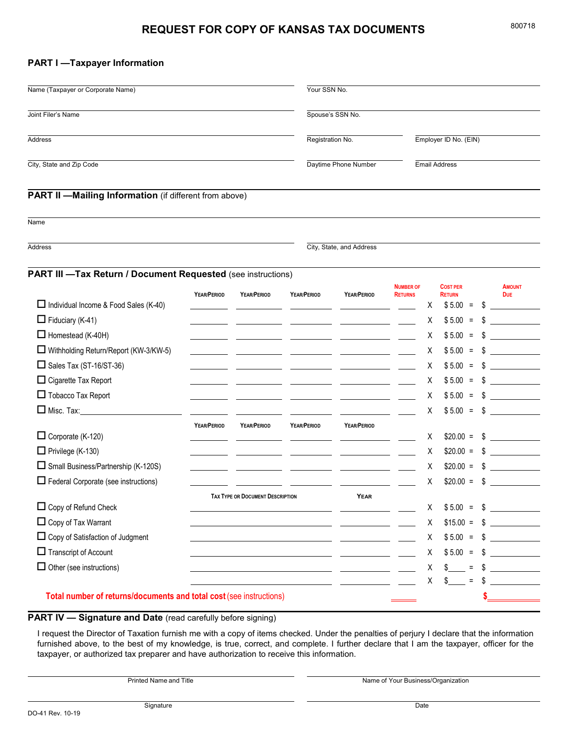# **REQUEST FOR COPY OF KANSAS TAX DOCUMENTS**

## **PART I —Taxpayer Information**

| Name (Taxpayer or Corporate Name)<br>Joint Filer's Name<br>Address<br>City, State and Zip Code |             |                                         |                                                    | Your SSN No.                             |                                    |   |                                               |    |                             |  |
|------------------------------------------------------------------------------------------------|-------------|-----------------------------------------|----------------------------------------------------|------------------------------------------|------------------------------------|---|-----------------------------------------------|----|-----------------------------|--|
|                                                                                                |             |                                         |                                                    | Spouse's SSN No.                         |                                    |   |                                               |    |                             |  |
|                                                                                                |             |                                         |                                                    | Registration No.<br>Daytime Phone Number |                                    |   | Employer ID No. (EIN)<br><b>Email Address</b> |    |                             |  |
|                                                                                                |             |                                         |                                                    |                                          |                                    |   |                                               |    |                             |  |
| Name                                                                                           |             |                                         |                                                    |                                          |                                    |   |                                               |    |                             |  |
| Address                                                                                        |             |                                         | City, State, and Address                           |                                          |                                    |   |                                               |    |                             |  |
| <b>PART III -Tax Return / Document Requested (see instructions)</b>                            |             |                                         |                                                    |                                          |                                    |   |                                               |    |                             |  |
|                                                                                                | YEAR/PERIOD | YEAR/PERIOD                             | YEAR/PERIOD                                        | YEAR/PERIOD                              | <b>NUMBER OF</b><br><b>RETURNS</b> |   | <b>COST PER</b><br><b>RETURN</b>              |    | <b>AMOUNT</b><br><b>DUE</b> |  |
| $\Box$ Individual Income & Food Sales (K-40)                                                   |             |                                         |                                                    |                                          |                                    | Х | $$5.00 =$                                     | \$ |                             |  |
| $\Box$ Fiduciary (K-41)                                                                        |             |                                         |                                                    |                                          |                                    | Χ | $$5.00 =$                                     | \$ |                             |  |
| $\Box$ Homestead (K-40H)                                                                       |             |                                         |                                                    |                                          |                                    | Χ | \$5.00<br>$=$                                 |    |                             |  |
| □ Withholding Return/Report (KW-3/KW-5)                                                        |             |                                         |                                                    |                                          |                                    | Χ | \$5.00<br>$\equiv$                            | S  |                             |  |
| $\Box$ Sales Tax (ST-16/ST-36)                                                                 |             |                                         |                                                    |                                          |                                    | Χ | $$5.00 =$                                     | S  |                             |  |
| □ Cigarette Tax Report                                                                         |             |                                         |                                                    |                                          |                                    | Χ | $$5.00 =$                                     | S  |                             |  |
| $\Box$ Tobacco Tax Report                                                                      |             |                                         |                                                    |                                          |                                    | Χ | \$5.00<br>$\equiv$                            | S  |                             |  |
| $\Box$ Misc. Tax: $\_\_\_\_\_\_\_\_\_\_\_\_\_\_\_\_\_\_$                                       |             |                                         |                                                    |                                          |                                    | Χ | $$5.00 =$                                     | \$ |                             |  |
|                                                                                                | YEAR/PERIOD | YEAR/PERIOD                             | YEAR/PERIOD                                        | YEAR/PERIOD                              |                                    |   |                                               |    |                             |  |
| $\Box$ Corporate (K-120)                                                                       |             |                                         |                                                    |                                          |                                    | Χ | $$20.00 =$                                    | S  |                             |  |
| $\Box$ Privilege (K-130)                                                                       |             |                                         |                                                    |                                          |                                    | Χ | $$20.00 =$                                    | S  |                             |  |
| Small Business/Partnership (K-120S)                                                            |             |                                         |                                                    |                                          |                                    | Χ | $$20.00 =$                                    | S  |                             |  |
| $\Box$ Federal Corporate (see instructions)                                                    |             |                                         |                                                    |                                          |                                    | Χ | $$20.00 =$                                    | \$ |                             |  |
|                                                                                                |             | <b>TAX TYPE OR DOCUMENT DESCRIPTION</b> |                                                    | <b>YEAR</b>                              |                                    |   |                                               |    |                             |  |
| $\Box$ Copy of Refund Check                                                                    |             |                                         |                                                    |                                          |                                    | Х | $$5.00 =$                                     | S. |                             |  |
| $\Box$ Copy of Tax Warrant                                                                     |             |                                         |                                                    |                                          |                                    | Χ | $$15.00 =$                                    | S  |                             |  |
| $\Box$ Copy of Satisfaction of Judgment                                                        |             |                                         |                                                    |                                          |                                    | Χ | $$5.00 =$                                     | S  |                             |  |
| $\Box$ Transcript of Account                                                                   |             |                                         |                                                    |                                          |                                    | Χ | $$5.00 =$                                     | S  |                             |  |
| $\Box$ Other (see instructions)                                                                |             |                                         | <u> 1980 - Johann Barn, amerikansk politiker (</u> |                                          |                                    | Χ | $\mathbb{S}$<br>$\equiv$                      | S  |                             |  |
|                                                                                                |             |                                         |                                                    |                                          |                                    | X | $=$                                           |    |                             |  |

# **PART IV — Signature and Date** (read carefully before signing)

I request the Director of Taxation furnish me with a copy of items checked. Under the penalties of perjury I declare that the information furnished above, to the best of my knowledge, is true, correct, and complete. I further declare that I am the taxpayer, officer for the taxpayer, or authorized tax preparer and have authorization to receive this information.

Printed Name and Title **Name of Your Business/Organization**